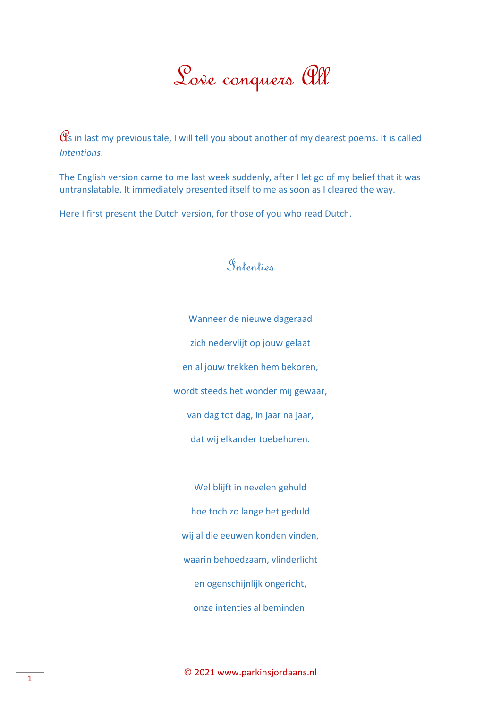## Love conquers All

 $\mathcal{C}\!\mathcal{S}$  in last my previous tale, I will tell you about another of my dearest poems. It is called *Intentions*.

The English version came to me last week suddenly, after I let go of my belief that it was untranslatable. It immediately presented itself to me as soon as I cleared the way.

Here I first present the Dutch version, for those of you who read Dutch.

## Intenties

Wanneer de nieuwe dageraad zich nedervlijt op jouw gelaat en al jouw trekken hem bekoren, wordt steeds het wonder mij gewaar, van dag tot dag, in jaar na jaar, dat wij elkander toebehoren.

Wel blijft in nevelen gehuld hoe toch zo lange het geduld wij al die eeuwen konden vinden, waarin behoedzaam, vlinderlicht en ogenschijnlijk ongericht, onze intenties al beminden.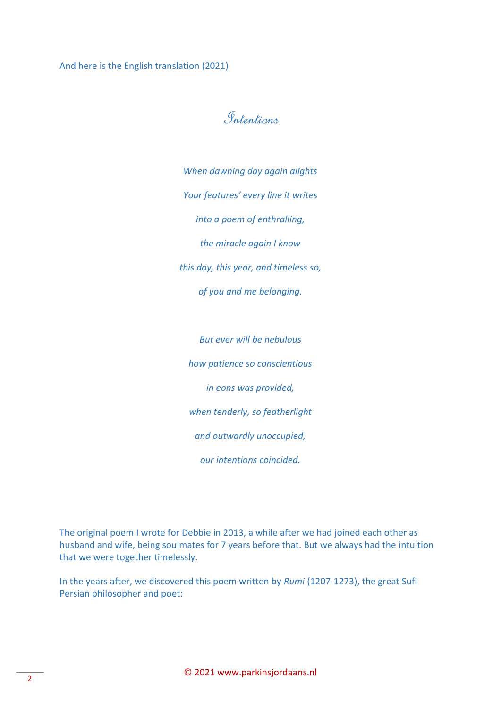And here is the English translation (2021)

## Intentions

*When dawning day again alights Your features' every line it writes into a poem of enthralling, the miracle again I know this day, this year, and timeless so, of you and me belonging.*

*But ever will be nebulous how patience so conscientious in eons was provided, when tenderly, so featherlight and outwardly unoccupied, our intentions coincided.*

The original poem I wrote for Debbie in 2013, a while after we had joined each other as husband and wife, being soulmates for 7 years before that. But we always had the intuition that we were together timelessly.

In the years after, we discovered this poem written by *Rumi* (1207-1273), the great Sufi Persian philosopher and poet: